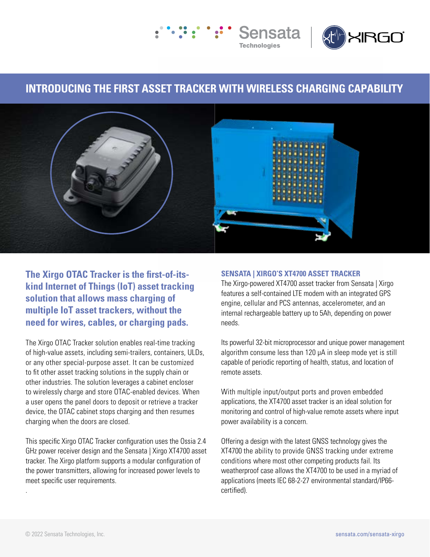



## **INTRODUCING THE FIRST ASSET TRACKER WITH WIRELESS CHARGING CAPABILITY**



**The Xirgo OTAC Tracker is the first-of-itskind Internet of Things (IoT) asset tracking solution that allows mass charging of multiple IoT asset trackers, without the need for wires, cables, or charging pads.** 

The Xirgo OTAC Tracker solution enables real-time tracking of high-value assets, including semi-trailers, containers, ULDs, or any other special-purpose asset. It can be customized to fit other asset tracking solutions in the supply chain or other industries. The solution leverages a cabinet encloser to wirelessly charge and store OTAC-enabled devices. When a user opens the panel doors to deposit or retrieve a tracker device, the OTAC cabinet stops charging and then resumes charging when the doors are closed.

This specific Xirgo OTAC Tracker configuration uses the Ossia 2.4 GHz power receiver design and the Sensata | Xirgo XT4700 asset tracker. The Xirgo platform supports a modular configuration of the power transmitters, allowing for increased power levels to meet specific user requirements.

## **SENSATA | XIRGO'S XT4700 ASSET TRACKER**

The Xirgo-powered XT4700 asset tracker from Sensata | Xirgo features a self-contained LTE modem with an integrated GPS engine, cellular and PCS antennas, accelerometer, and an internal rechargeable battery up to 5Ah, depending on power needs.

Its powerful 32-bit microprocessor and unique power management algorithm consume less than 120 μA in sleep mode yet is still capable of periodic reporting of health, status, and location of remote assets.

With multiple input/output ports and proven embedded applications, the XT4700 asset tracker is an ideal solution for monitoring and control of high-value remote assets where input power availability is a concern.

Offering a design with the latest GNSS technology gives the XT4700 the ability to provide GNSS tracking under extreme conditions where most other competing products fail. Its weatherproof case allows the XT4700 to be used in a myriad of applications (meets IEC 68-2-27 environmental standard/IP66 certified).

.